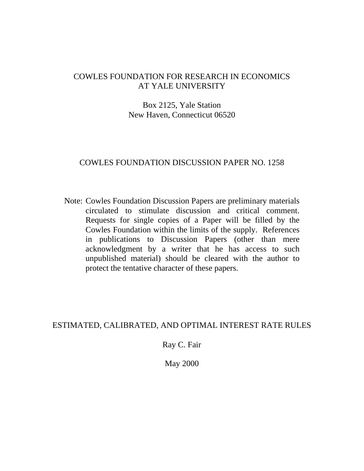# COWLES FOUNDATION FOR RESEARCH IN ECONOMICS AT YALE UNIVERSITY

# Box 2125, Yale Station New Haven, Connecticut 06520

## COWLES FOUNDATION DISCUSSION PAPER NO. 1258

Note: Cowles Foundation Discussion Papers are preliminary materials circulated to stimulate discussion and critical comment. Requests for single copies of a Paper will be filled by the Cowles Foundation within the limits of the supply. References in publications to Discussion Papers (other than mere acknowledgment by a writer that he has access to such unpublished material) should be cleared with the author to protect the tentative character of these papers.

# ESTIMATED, CALIBRATED, AND OPTIMAL INTEREST RATE RULES

Ray C. Fair

May 2000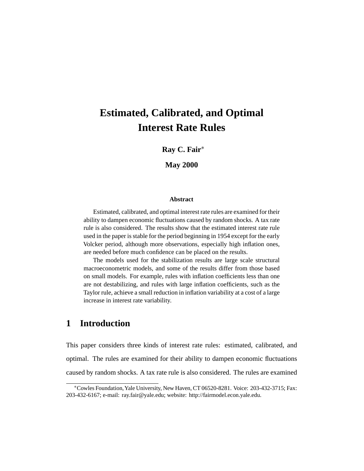# **Estimated, Calibrated, and Optimal Interest Rate Rules**

**Ray C. Fair**∗

**May 2000**

#### **Abstract**

Estimated, calibrated, and optimal interest rate rules are examined for their ability to dampen economic fluctuations caused by random shocks. A tax rate rule is also considered. The results show that the estimated interest rate rule used in the paper is stable for the period beginning in 1954 except for the early Volcker period, although more observations, especially high inflation ones, are needed before much confidence can be placed on the results.

The models used for the stabilization results are large scale structural macroeconometric models, and some of the results differ from those based on small models. For example, rules with inflation coefficients less than one are not destabilizing, and rules with large inflation coefficients, such as the Taylor rule, achieve a small reduction in inflation variability at a cost of a large increase in interest rate variability.

# **1 Introduction**

This paper considers three kinds of interest rate rules: estimated, calibrated, and optimal. The rules are examined for their ability to dampen economic fluctuations caused by random shocks. A tax rate rule is also considered. The rules are examined

<sup>∗</sup>Cowles Foundation,Yale University, New Haven, CT 06520-8281. Voice: 203-432-3715; Fax: 203-432-6167; e-mail: ray.fair@yale.edu; website: http://fairmodel.econ.yale.edu.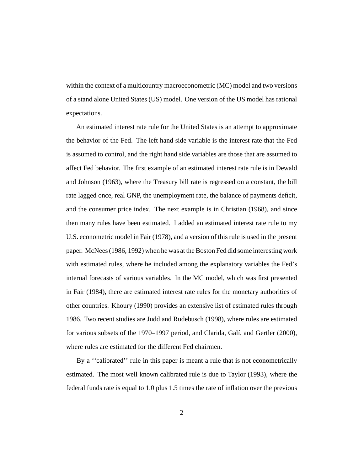within the context of a multicountry macroeconometric (MC) model and two versions of a stand alone United States (US) model. One version of the US model has rational expectations.

An estimated interest rate rule for the United States is an attempt to approximate the behavior of the Fed. The left hand side variable is the interest rate that the Fed is assumed to control, and the right hand side variables are those that are assumed to affect Fed behavior. The first example of an estimated interest rate rule is in Dewald and Johnson (1963), where the Treasury bill rate is regressed on a constant, the bill rate lagged once, real GNP, the unemployment rate, the balance of payments deficit, and the consumer price index. The next example is in Christian (1968), and since then many rules have been estimated. I added an estimated interest rate rule to my U.S. econometric model in Fair (1978), and a version of this rule is used in the present paper. McNees (1986, 1992) when he was at the Boston Fed did some interesting work with estimated rules, where he included among the explanatory variables the Fed's internal forecasts of various variables. In the MC model, which was first presented in Fair (1984), there are estimated interest rate rules for the monetary authorities of other countries. Khoury (1990) provides an extensive list of estimated rules through 1986. Two recent studies are Judd and Rudebusch (1998), where rules are estimated for various subsets of the 1970–1997 period, and Clarida, Galí, and Gertler (2000), where rules are estimated for the different Fed chairmen.

By a ''calibrated'' rule in this paper is meant a rule that is not econometrically estimated. The most well known calibrated rule is due to Taylor (1993), where the federal funds rate is equal to 1.0 plus 1.5 times the rate of inflation over the previous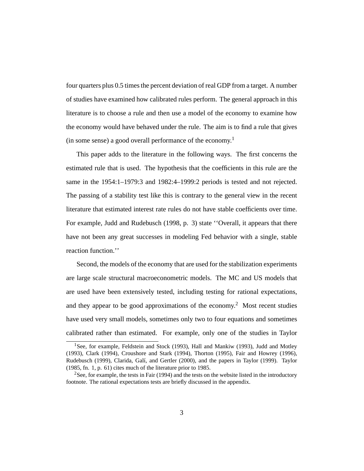four quarters plus 0.5 times the percent deviation of real GDP from a target. A number of studies have examined how calibrated rules perform. The general approach in this literature is to choose a rule and then use a model of the economy to examine how the economy would have behaved under the rule. The aim is to find a rule that gives (in some sense) a good overall performance of the economy.<sup>1</sup>

This paper adds to the literature in the following ways. The first concerns the estimated rule that is used. The hypothesis that the coefficients in this rule are the same in the 1954:1–1979:3 and 1982:4–1999:2 periods is tested and not rejected. The passing of a stability test like this is contrary to the general view in the recent literature that estimated interest rate rules do not have stable coefficients over time. For example, Judd and Rudebusch (1998, p. 3) state ''Overall, it appears that there have not been any great successes in modeling Fed behavior with a single, stable reaction function.''

Second, the models of the economy that are used for the stabilization experiments are large scale structural macroeconometric models. The MC and US models that are used have been extensively tested, including testing for rational expectations, and they appear to be good approximations of the economy.<sup>2</sup> Most recent studies have used very small models, sometimes only two to four equations and sometimes calibrated rather than estimated. For example, only one of the studies in Taylor

<sup>&</sup>lt;sup>1</sup>See, for example, Feldstein and Stock (1993), Hall and Mankiw (1993), Judd and Motley (1993), Clark (1994), Croushore and Stark (1994), Thorton (1995), Fair and Howrey (1996), Rudebusch (1999), Clarida, Galí, and Gertler (2000), and the papers in Taylor (1999). Taylor (1985, fn. 1, p. 61) cites much of the literature prior to 1985.

<sup>&</sup>lt;sup>2</sup>See, for example, the tests in Fair (1994) and the tests on the website listed in the introductory footnote. The rational expectations tests are briefly discussed in the appendix.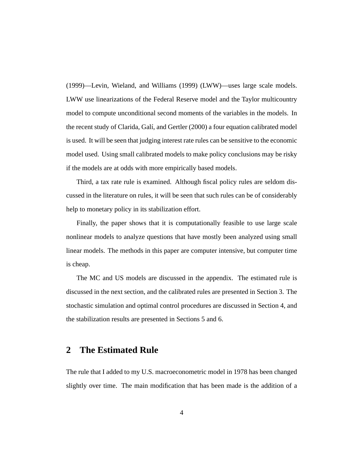(1999)—Levin, Wieland, and Williams (1999) (LWW)—uses large scale models. LWW use linearizations of the Federal Reserve model and the Taylor multicountry model to compute unconditional second moments of the variables in the models. In the recent study of Clarida, Galí, and Gertler (2000) a four equation calibrated model is used. It will be seen that judging interest rate rules can be sensitive to the economic model used. Using small calibrated models to make policy conclusions may be risky if the models are at odds with more empirically based models.

Third, a tax rate rule is examined. Although fiscal policy rules are seldom discussed in the literature on rules, it will be seen that such rules can be of considerably help to monetary policy in its stabilization effort.

Finally, the paper shows that it is computationally feasible to use large scale nonlinear models to analyze questions that have mostly been analyzed using small linear models. The methods in this paper are computer intensive, but computer time is cheap.

The MC and US models are discussed in the appendix. The estimated rule is discussed in the next section, and the calibrated rules are presented in Section 3. The stochastic simulation and optimal control procedures are discussed in Section 4, and the stabilization results are presented in Sections 5 and 6.

### **2 The Estimated Rule**

The rule that I added to my U.S. macroeconometric model in 1978 has been changed slightly over time. The main modification that has been made is the addition of a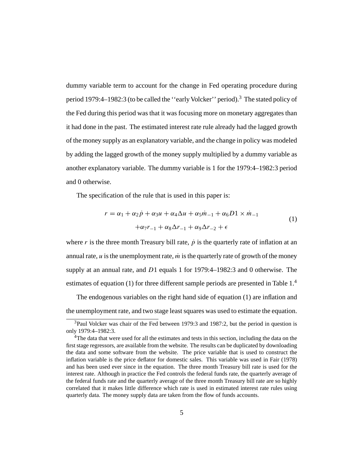dummy variable term to account for the change in Fed operating procedure during period 1979:4–1982:3 (to be called the ''earlyVolcker'' period).3 The stated policy of the Fed during this period was that it was focusing more on monetary aggregates than it had done in the past. The estimated interest rate rule already had the lagged growth of the money supply as an explanatory variable, and the change in policy was modeled by adding the lagged growth of the money supply multiplied by a dummy variable as another explanatory variable. The dummy variable is 1 for the 1979:4–1982:3 period and 0 otherwise.

The specification of the rule that is used in this paper is:

$$
r = \alpha_1 + \alpha_2 \dot{p} + \alpha_3 u + \alpha_4 \Delta u + \alpha_5 \dot{m}_{-1} + \alpha_6 D1 \times \dot{m}_{-1}
$$
  
+
$$
\alpha_7 r_{-1} + \alpha_8 \Delta r_{-1} + \alpha_9 \Delta r_{-2} + \epsilon
$$
 (1)

where r is the three month Treasury bill rate,  $\dot{p}$  is the quarterly rate of inflation at an annual rate,  $\mu$  is the unemployment rate,  $\dot{m}$  is the quarterly rate of growth of the money supply at an annual rate, and D1 equals 1 for 1979:4–1982:3 and 0 otherwise. The estimates of equation (1) for three different sample periods are presented in Table 1.<sup>4</sup>

The endogenous variables on the right hand side of equation (1) are inflation and the unemployment rate, and two stage least squares was used to estimate the equation.

<sup>3</sup>Paul Volcker was chair of the Fed between 1979:3 and 1987:2, but the period in question is only 1979:4–1982:3.

<sup>&</sup>lt;sup>4</sup>The data that were used for all the estimates and tests in this section, including the data on the first stage regressors, are available from the website. The results can be duplicated by downloading the data and some software from the website. The price variable that is used to construct the inflation variable is the price deflator for domestic sales. This variable was used in Fair (1978) and has been used ever since in the equation. The three month Treasury bill rate is used for the interest rate. Although in practice the Fed controls the federal funds rate, the quarterly average of the federal funds rate and the quarterly average of the three month Treasury bill rate are so highly correlated that it makes little difference which rate is used in estimated interest rate rules using quarterly data. The money supply data are taken from the flow of funds accounts.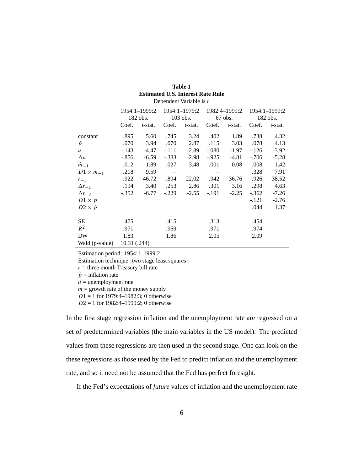| Dependent Variable is $r$ |              |               |            |               |               |         |               |         |  |
|---------------------------|--------------|---------------|------------|---------------|---------------|---------|---------------|---------|--|
|                           |              | 1954:1-1999:2 |            | 1954:1-1979:2 | 1982:4-1999:2 |         | 1954:1-1999:2 |         |  |
|                           |              | $182$ obs.    | $103$ obs. |               | $67$ obs.     |         | $182$ obs.    |         |  |
|                           | Coef.        | t-stat.       | Coef.      | t-stat.       | Coef.         | t-stat. | Coef.         | t-stat. |  |
| constant                  | .895         | 5.60          | .745       | 3.24          | .402          | 1.89    | .738          | 4.32    |  |
| $\dot{p}$                 | .070         | 3.94          | .070       | 2.87          | .115          | 3.03    | .078          | 4.13    |  |
| $\boldsymbol{u}$          | $-.143$      | -4.47         | $-.111$    | $-2.89$       | $-.080$       | $-1.97$ | $-126$        | $-3.92$ |  |
| $\Delta u$                | $-.856$      | $-6.59$       | $-.383$    | $-2.98$       | $-.925$       | $-4.81$ | $-.706$       | $-5.28$ |  |
| $m_{-1}$                  | .012         | 1.89          | .027       | 3.48          | .001          | 0.08    | .008          | 1.42    |  |
| $D1 \times m_{-1}$        | .218         | 9.59          |            |               |               |         | .328          | 7.91    |  |
| $r_{-1}$                  | .922         | 46.72         | .894       | 22.02         | .942          | 36.76   | .926          | 38.52   |  |
| $\Delta r_{-1}$           | .194         | 3.40          | .253       | 2.86          | .301          | 3.16    | .298          | 4.63    |  |
| $\Delta r_{-2}$           | $-.352$      | $-6.77$       | $-.229$    | $-2.55$       | $-.191$       | $-2.25$ | $-.362$       | $-7.26$ |  |
| $D1 \times p$             |              |               |            |               |               |         | $-.121$       | $-2.76$ |  |
| $D2 \times \dot{p}$       |              |               |            |               |               |         | .044          | 1.37    |  |
| <b>SE</b>                 | .475         |               | .415       |               | .313          |         | .454          |         |  |
| $R^2$                     | .971         |               | .959       |               | .971          |         | .974          |         |  |
| <b>DW</b>                 | 1.83         |               | 1.86       |               | 2.05          |         | 2.09          |         |  |
| Wald (p-value)            | 10.31 (.244) |               |            |               |               |         |               |         |  |

| Table 1                                  |  |  |         |  |  |  |  |  |
|------------------------------------------|--|--|---------|--|--|--|--|--|
| <b>Estimated U.S. Interest Rate Rule</b> |  |  |         |  |  |  |  |  |
|                                          |  |  | 1.77.11 |  |  |  |  |  |

Estimation period: 1954:1–1999:2

Estimation technique: two stage least squares

 $r =$  three month Treasury bill rate

 $\dot{p}$  = inflation rate

 $u =$  unemployment rate

 $\dot{m}$  = growth rate of the money supply

 $D1 = 1$  for 1979:4-1982:3; 0 otherwise

 $D2 = 1$  for 1982:4-1999:2; 0 otherwise

In the first stage regression inflation and the unemployment rate are regressed on a set of predetermined variables (the main variables in the US model). The predicted values from these regressions are then used in the second stage. One can look on the these regressions as those used by the Fed to predict inflation and the unemployment rate, and so it need not be assumed that the Fed has perfect foresight.

If the Fed's expectations of *future* values of inflation and the unemployment rate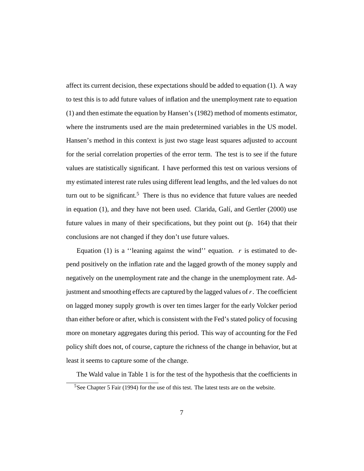affect its current decision, these expectations should be added to equation (1). A way to test this is to add future values of inflation and the unemployment rate to equation (1) and then estimate the equation by Hansen's (1982) method of moments estimator, where the instruments used are the main predetermined variables in the US model. Hansen's method in this context is just two stage least squares adjusted to account for the serial correlation properties of the error term. The test is to see if the future values are statistically significant. I have performed this test on various versions of my estimated interest rate rules using different lead lengths, and the led values do not turn out to be significant.<sup>5</sup> There is thus no evidence that future values are needed in equation (1), and they have not been used. Clarida, Galí, and Gertler (2000) use future values in many of their specifications, but they point out (p. 164) that their conclusions are not changed if they don't use future values.

Equation (1) is a "leaning against the wind" equation.  $r$  is estimated to depend positively on the inflation rate and the lagged growth of the money supply and negatively on the unemployment rate and the change in the unemployment rate. Adjustment and smoothing effects are captured by the lagged values of  $r$ . The coefficient on lagged money supply growth is over ten times larger for the early Volcker period than either before or after, which is consistent with the Fed's stated policy of focusing more on monetary aggregates during this period. This way of accounting for the Fed policy shift does not, of course, capture the richness of the change in behavior, but at least it seems to capture some of the change.

The Wald value in Table 1 is for the test of the hypothesis that the coefficients in

 $5$ See Chapter 5 Fair (1994) for the use of this test. The latest tests are on the website.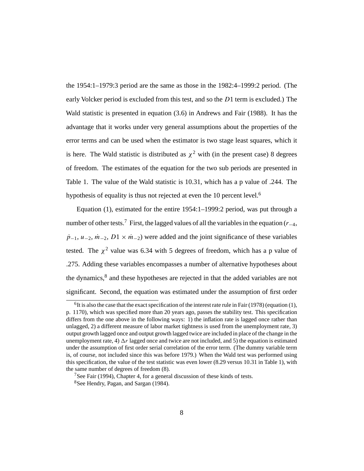the 1954:1–1979:3 period are the same as those in the 1982:4–1999:2 period. (The early Volcker period is excluded from this test, and so the  $D1$  term is excluded.) The Wald statistic is presented in equation (3.6) in Andrews and Fair (1988). It has the advantage that it works under very general assumptions about the properties of the error terms and can be used when the estimator is two stage least squares, which it is here. The Wald statistic is distributed as  $\chi^2$  with (in the present case) 8 degrees of freedom. The estimates of the equation for the two sub periods are presented in Table 1. The value of the Wald statistic is 10.31, which hasapvalue of .244. The hypothesis of equality is thus not rejected at even the 10 percent level.<sup>6</sup>

Equation (1), estimated for the entire 1954:1–1999:2 period, was put through a number of other tests.<sup>7</sup> First, the lagged values of all the variables in the equation ( $r_{-4}$ ,  $\dot{p}_{-1}, u_{-2}, \dot{m}_{-2}, D1 \times \dot{m}_{-2}$  were added and the joint significance of these variables tested. The  $\chi^2$  value was 6.34 with 5 degrees of freedom, which has a p value of .275. Adding these variables encompasses a number of alternative hypotheses about the dynamics,<sup>8</sup> and these hypotheses are rejected in that the added variables are not significant. Second, the equation was estimated under the assumption of first order

 $<sup>6</sup>$ It is also the case that the exact specification of the interest rate rule in Fair (1978) (equation (1),</sup> p. 1170), which was specified more than 20 years ago, passes the stability test. This specification differs from the one above in the following ways: 1) the inflation rate is lagged once rather than unlagged, 2) a different measure of labor market tightness is used from the unemployment rate, 3) output growth lagged once and output growth lagged twice are included in place of the change in the unemployment rate, 4)  $\Delta r$  lagged once and twice are not included, and 5) the equation is estimated under the assumption of first order serial correlation of the error term. (The dummy variable term is, of course, not included since this was before 1979.) When the Wald test was performed using this specification, the value of the test statistic was even lower (8.29 versus 10.31 in Table 1), with the same number of degrees of freedom (8).

<sup>&</sup>lt;sup>7</sup>See Fair (1994), Chapter 4, for a general discussion of these kinds of tests.

<sup>8</sup>See Hendry, Pagan, and Sargan (1984).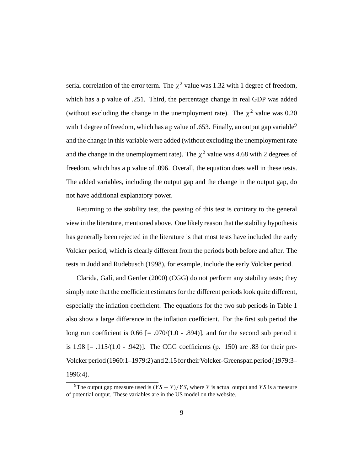serial correlation of the error term. The  $\chi^2$  value was 1.32 with 1 degree of freedom, which has a p value of .251. Third, the percentage change in real GDP was added (without excluding the change in the unemployment rate). The  $\chi^2$  value was 0.20 with 1 degree of freedom, which has a p value of .653. Finally, an output gap variable<sup>9</sup> and the change in this variable were added (without excluding the unemployment rate and the change in the unemployment rate). The  $\chi^2$  value was 4.68 with 2 degrees of freedom, which has a p value of .096. Overall, the equation does well in these tests. The added variables, including the output gap and the change in the output gap, do not have additional explanatory power.

Returning to the stability test, the passing of this test is contrary to the general view in the literature, mentioned above. One likely reason that the stability hypothesis has generally been rejected in the literature is that most tests have included the early Volcker period, which is clearly different from the periods both before and after. The tests in Judd and Rudebusch (1998), for example, include the early Volcker period.

Clarida, Galí, and Gertler (2000) (CGG) do not perform any stability tests; they simply note that the coefficient estimates for the different periods look quite different, especially the inflation coefficient. The equations for the two sub periods in Table 1 also show a large difference in the inflation coefficient. For the first sub period the long run coefficient is  $0.66$  [=  $.070/(1.0 - .894)$ ], and for the second sub period it is  $1.98$  [=  $.115/(1.0 - .942)$ ]. The CGG coefficients (p. 150) are 0.83 for their pre-Volcker period (1960:1–1979:2) and 2.15 for their Volcker-Greenspan period (1979:3– 1996:4).

<sup>&</sup>lt;sup>9</sup>The output gap measure used is  $(YS - Y)/YS$ , where Y is actual output and Y S is a measure of potential output. These variables are in the US model on the website.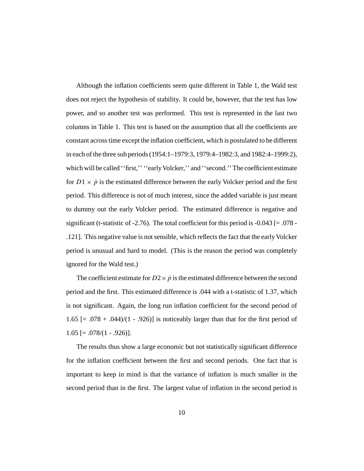Although the inflation coefficients seem quite different in Table 1, the Wald test does not reject the hypothesis of stability. It could be, however, that the test has low power, and so another test was performed. This test is represented in the last two columns in Table 1. This test is based on the assumption that all the coefficients are constant across time except the inflation coefficient, which is postulated to be different in each of the three sub periods (1954:1–1979:3, 1979:4–1982:3, and 1982:4–1999:2), which will be called "first," "early Volcker," and "second." The coefficient estimate for  $D_1 \times \dot{p}$  is the estimated difference between the early Volcker period and the first period. This difference is not of much interest, since the added variable is just meant to dummy out the early Volcker period. The estimated difference is negative and significant (t-statistic of -2.76). The total coefficient for this period is  $-0.043$  [ $= .078$  -.121]. This negative value is not sensible, which reflects the fact that the early Volcker period is unusual and hard to model. (This is the reason the period was completely ignored for the Wald test.)

The coefficient estimate for  $D2 \times \dot{p}$  is the estimated difference between the second period and the first. This estimated difference is .044 with a t-statistic of 1.37, which is not significant. Again, the long run inflation coefficient for the second period of 1.65  $\left[ = .078 + .044 \right) / (1 - .926)$  is noticeably larger than that for the first period of  $1.05$  [=  $.078/(1 - .926)$ ].

The results thus show a large economic but not statistically significant difference for the inflation coefficient between the first and second periods. One fact that is important to keep in mind is that the variance of inflation is much smaller in the second period than in the first. The largest value of inflation in the second period is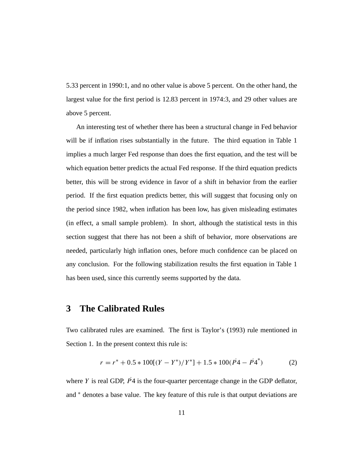5.33 percent in 1990:1, and no other value is above 5 percent. On the other hand, the largest value for the first period is 12.83 percent in 1974:3, and 29 other values are above 5 percent.

An interesting test of whether there has been a structural change in Fed behavior will be if inflation rises substantially in the future. The third equation in Table 1 implies a much larger Fed response than does the first equation, and the test will be which equation better predicts the actual Fed response. If the third equation predicts better, this will be strong evidence in favor of a shift in behavior from the earlier period. If the first equation predicts better, this will suggest that focusing only on the period since 1982, when inflation has been low, has given misleading estimates (in effect, a small sample problem). In short, although the statistical tests in this section suggest that there has not been a shift of behavior, more observations are needed, particularly high inflation ones, before much confidence can be placed on any conclusion. For the following stabilization results the first equation in Table 1 has been used, since this currently seems supported by the data.

### **3 The Calibrated Rules**

Two calibrated rules are examined. The first is Taylor's (1993) rule mentioned in Section 1. In the present context this rule is:

$$
r = r^* + 0.5 * 100[(Y - Y^*)/Y^*] + 1.5 * 100(P^2 - P^4)
$$
 (2)

where Y is real GDP,  $\dot{P}4$  is the four-quarter percentage change in the GDP deflator, and <sup>\*</sup> denotes a base value. The key feature of this rule is that output deviations are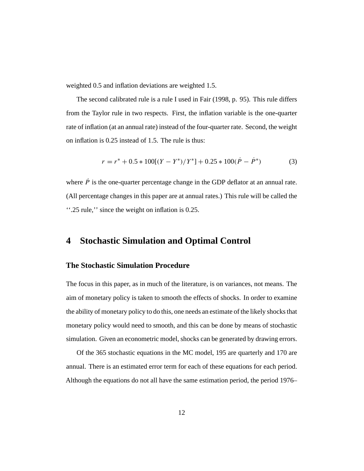weighted 0.5 and inflation deviations are weighted 1.5.

The second calibrated rule is a rule I used in Fair (1998, p. 95). This rule differs from the Taylor rule in two respects. First, the inflation variable is the one-quarter rate of inflation (at an annual rate) instead of the four-quarter rate. Second, the weight on inflation is 0.25 instead of 1.5. The rule is thus:

$$
r = r^* + 0.5 * 100[(Y - Y^*)/Y^*] + 0.25 * 100(P - P^*)
$$
 (3)

where  $\dot{P}$  is the one-quarter percentage change in the GDP deflator at an annual rate. (All percentage changes in this paper are at annual rates.) This rule will be called the ''.25 rule,'' since the weight on inflation is 0.25.

# **4 Stochastic Simulation and Optimal Control**

### **The Stochastic Simulation Procedure**

The focus in this paper, as in much of the literature, is on variances, not means. The aim of monetary policy is taken to smooth the effects of shocks. In order to examine the ability of monetary policy to do this, one needs an estimate of the likely shocks that monetary policy would need to smooth, and this can be done by means of stochastic simulation. Given an econometric model, shocks can be generated by drawing errors.

Of the 365 stochastic equations in the MC model, 195 are quarterly and 170 are annual. There is an estimated error term for each of these equations for each period. Although the equations do not all have the same estimation period, the period 1976–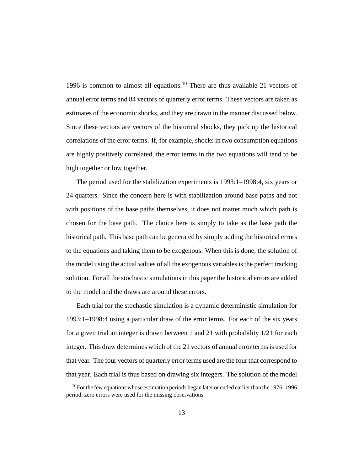1996 is common to almost all equations.<sup>10</sup> There are thus available 21 vectors of annual error terms and 84 vectors of quarterly error terms. These vectors are taken as estimates of the economic shocks, and they are drawn in the manner discussed below. Since these vectors are vectors of the historical shocks, they pick up the historical correlations of the error terms. If, for example, shocks in two consumption equations are highly positively correlated, the error terms in the two equations will tend to be high together or low together.

The period used for the stabilization experiments is 1993:1–1998:4, six years or 24 quarters. Since the concern here is with stabilization around base paths and not with positions of the base paths themselves, it does not matter much which path is chosen for the base path. The choice here is simply to take as the base path the historical path. This base path can be generated by simply adding the historical errors to the equations and taking them to be exogenous. When this is done, the solution of the model using the actual values of all the exogenous variables is the perfect tracking solution. For all the stochastic simulations in this paper the historical errors are added to the model and the draws are around these errors.

Each trial for the stochastic simulation is a dynamic deterministic simulation for 1993:1–1998:4 using a particular draw of the error terms. For each of the six years for a given trial an integer is drawn between 1 and 21 with probability 1/21 for each integer. This draw determines which of the 21 vectors of annual error terms is used for that year. The four vectors of quarterly error terms used are the four that correspond to that year. Each trial is thus based on drawing six integers. The solution of the model

 $10$  For the few equations whose estimation periods began later or ended earlier than the 1976–1996 period, zero errors were used for the missing observations.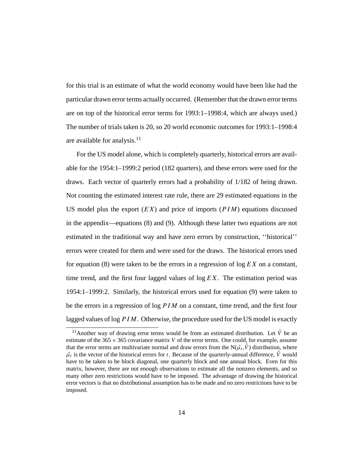for this trial is an estimate of what the world economy would have been like had the particular drawn error terms actually occurred. (Remember that the drawn error terms are on top of the historical error terms for 1993:1–1998:4, which are always used.) The number of trials taken is 20, so 20 world economic outcomes for 1993:1–1998:4 are available for analysis. $11$ 

For the US model alone, which is completely quarterly, historical errors are available for the 1954:1–1999:2 period (182 quarters), and these errors were used for the draws. Each vector of quarterly errors had a probability of 1/182 of being drawn. Not counting the estimated interest rate rule, there are 29 estimated equations in the US model plus the export  $(EX)$  and price of imports  $(PIM)$  equations discussed in the appendix—equations (8) and (9). Although these latter two equations are not estimated in the traditional way and have zero errors by construction, ''historical'' errors were created for them and were used for the draws. The historical errors used for equation (8) were taken to be the errors in a regression of  $\log EX$  on a constant, time trend, and the first four lagged values of  $\log EX$ . The estimation period was 1954:1–1999:2. Similarly, the historical errors used for equation (9) were taken to be the errors in a regression of  $\log PIM$  on a constant, time trend, and the first four lagged values of  $log PIM$ . Otherwise, the procedure used for the US model is exactly

<sup>&</sup>lt;sup>11</sup>Another way of drawing error terms would be from an estimated distribution. Let  $\hat{V}$  be an estimate of the  $365 \times 365$  covariance matrix V of the error terms. One could, for example, assume that the error terms are multivariate normal and draw errors from the  $N(\hat{\mu},\hat{V})$  distribution, where  $\hat{\mu}_t$  is the vector of the historical errors for t. Because of the quarterly-annual difference,  $\hat{V}$  would have to be taken to be block diagonal, one quarterly block and one annual block. Even for this matrix, however, there are not enough observations to estimate all the nonzero elements, and so many other zero restrictions would have to be imposed. The advantage of drawing the historical error vectors is that no distributional assumption has to be made and no zero restrictions have to be imposed.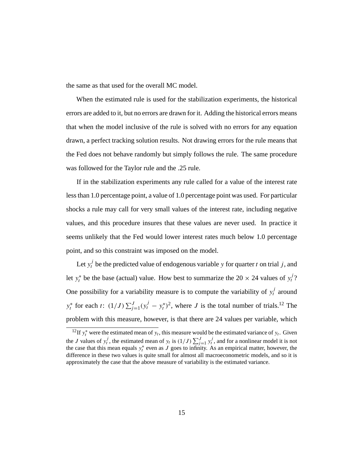the same as that used for the overall MC model.

When the estimated rule is used for the stabilization experiments, the historical errors are added to it, but no errors are drawn for it. Adding the historical errors means that when the model inclusive of the rule is solved with no errors for any equation drawn, a perfect tracking solution results. Not drawing errors for the rule means that the Fed does not behave randomly but simply follows the rule. The same procedure was followed for the Taylor rule and the .25 rule.

If in the stabilization experiments any rule called for a value of the interest rate less than 1.0 percentage point, a value of 1.0 percentage point was used. For particular shocks a rule may call for very small values of the interest rate, including negative values, and this procedure insures that these values are never used. In practice it seems unlikely that the Fed would lower interest rates much below 1.0 percentage point, and so this constraint was imposed on the model.

Let  $y_t^j$  be the predicted value of endogenous variable y for quarter t on trial j, and let  $y_t^*$  be the base (actual) value. How best to summarize the 20  $\times$  24 values of  $y_t^j$ ? One possibility for a variability measure is to compute the variability of  $y_t^j$  around  $y_t^*$  for each t:  $(1/J) \sum_{j=1}^{J} (y_t^j - y_t^*)^2$ , where J is the total number of trials.<sup>12</sup> The problem with this measure, however, is that there are 24 values per variable, which

<sup>&</sup>lt;sup>12</sup>If  $y_t^*$  were the estimated mean of  $y_t$ , this measure would be the estimated variance of  $y_t$ . Given the J values of  $y_t^j$ , the estimated mean of  $y_t$  is  $(1/J) \sum_{j=1}^J y_t^j$ , and for a nonlinear model it is not the case that this mean equals  $y_t^*$  even as J goes to infinity. As an empirical matter, however, the difference in these two values is quite small for almost all macroeconometric models, and so it is approximately the case that the above measure of variability is the estimated variance.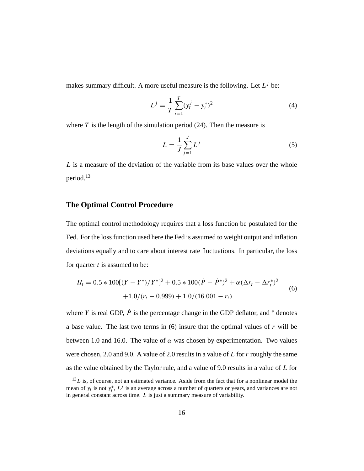makes summary difficult. A more useful measure is the following. Let  $L^j$  be:

$$
L^{j} = \frac{1}{T} \sum_{i=1}^{T} (y_{t}^{j} - y_{t}^{*})^{2}
$$
 (4)

where  $T$  is the length of the simulation period (24). Then the measure is

$$
L = \frac{1}{J} \sum_{j=1}^{J} L^{j}
$$
 (5)

 $L$  is a measure of the deviation of the variable from its base values over the whole period.<sup>13</sup>

### **The Optimal Control Procedure**

The optimal control methodology requires that a loss function be postulated for the Fed. For the loss function used here the Fed is assumed to weight output and inflation deviations equally and to care about interest rate fluctuations. In particular, the loss for quarter  $t$  is assumed to be:

$$
H_t = 0.5 * 100[(Y - Y^*)/Y^*]^2 + 0.5 * 100(\dot{P} - \dot{P}^*)^2 + \alpha(\Delta r_t - \Delta r_t^*)^2
$$
  
+1.0/(r\_t - 0.999) + 1.0/(16.001 - r\_t) (6)

where Y is real GDP,  $\dot{P}$  is the percentage change in the GDP deflator, and  $*$  denotes a base value. The last two terms in  $(6)$  insure that the optimal values of r will be between 1.0 and 16.0. The value of  $\alpha$  was chosen by experimentation. Two values were chosen, 2.0 and 9.0. A value of 2.0 results in a value of  $L$  for  $r$  roughly the same as the value obtained by the Taylor rule, and a value of 9.0 results in a value of L for

 $13L$  is, of course, not an estimated variance. Aside from the fact that for a nonlinear model the mean of  $y_t$  is not  $y_t^*$ ,  $L^j$  is an average across a number of quarters or years, and variances are not in general constant across time. L is just a summary measure of variability.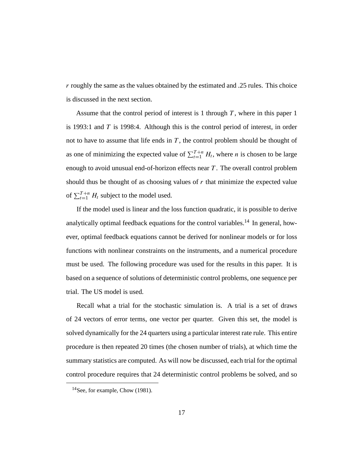r roughly the same as the values obtained by the estimated and .25 rules. This choice is discussed in the next section.

Assume that the control period of interest is 1 through  $T$ , where in this paper 1 is 1993:1 and  $T$  is 1998:4. Although this is the control period of interest, in order not to have to assume that life ends in  $T$ , the control problem should be thought of as one of minimizing the expected value of  $\sum_{t=1}^{T+n} H_t$ , where *n* is chosen to be large enough to avoid unusual end-of-horizon effects near  $T$ . The overall control problem should thus be thought of as choosing values of  $r$  that minimize the expected value of  $\sum_{t=1}^{T+n} H_t$  subject to the model used.

If the model used is linear and the loss function quadratic, it is possible to derive analytically optimal feedback equations for the control variables.<sup>14</sup> In general, however, optimal feedback equations cannot be derived for nonlinear models or for loss functions with nonlinear constraints on the instruments, and a numerical procedure must be used. The following procedure was used for the results in this paper. It is based on a sequence of solutions of deterministic control problems, one sequence per trial. The US model is used.

Recall what a trial for the stochastic simulation is. A trial is a set of draws of 24 vectors of error terms, one vector per quarter. Given this set, the model is solved dynamically for the 24 quarters using a particular interest rate rule. This entire procedure is then repeated 20 times (the chosen number of trials), at which time the summary statistics are computed. As will now be discussed, each trial for the optimal control procedure requires that 24 deterministic control problems be solved, and so

<sup>14</sup>See, for example, Chow (1981).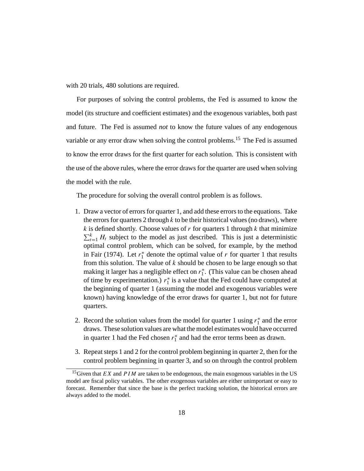with 20 trials, 480 solutions are required.

For purposes of solving the control problems, the Fed is assumed to know the model (its structure and coefficient estimates) and the exogenous variables, both past and future. The Fed is assumed *not* to know the future values of any endogenous variable or any error draw when solving the control problems.<sup>15</sup> The Fed is assumed to know the error draws for the first quarter for each solution. This is consistent with the use of the above rules, where the error draws for the quarter are used when solving the model with the rule.

The procedure for solving the overall control problem is as follows.

- 1. Draw a vector of errors for quarter 1, and add these errors to the equations. Take the errors for quarters 2 through  $k$  to be their historical values (no draws), where  $k$  is defined shortly. Choose values of  $r$  for quarters 1 through  $k$  that minimize  $\sum_{t=1}^{k} H_t$  subject to the model as just described. This is just a deterministic optimal control problem, which can be solved, for example, by the method in Fair (1974). Let  $r_1^*$  denote the optimal value of r for quarter 1 that results from this solution. The value of  $k$  should be chosen to be large enough so that making it larger has a negligible effect on  $r_1^*$ . (This value can be chosen ahead of time by experimentation.)  $r_1^*$  is a value that the Fed could have computed at the beginning of quarter 1 (assuming the model and exogenous variables were known) having knowledge of the error draws for quarter 1, but not for future quarters.
- 2. Record the solution values from the model for quarter 1 using  $r_1^*$  and the error draws. These solution values are what the model estimates would have occurred in quarter 1 had the Fed chosen  $r_1^*$  and had the error terms been as drawn.
- 3. Repeat steps 1 and 2 for the control problem beginning in quarter 2, then for the control problem beginning in quarter 3, and so on through the control problem

<sup>&</sup>lt;sup>15</sup>Given that *EX* and *PIM* are taken to be endogenous, the main exogenous variables in the US model are fiscal policy variables. The other exogenous variables are either unimportant or easy to forecast. Remember that since the base is the perfect tracking solution, the historical errors are always added to the model.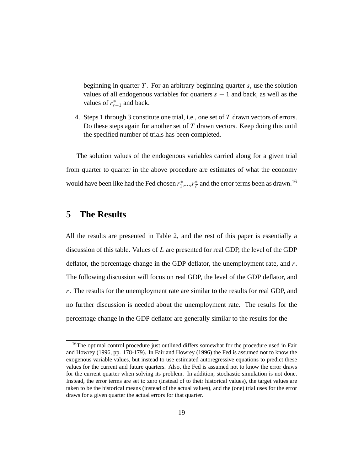beginning in quarter T. For an arbitrary beginning quarter  $s$ , use the solution values of all endogenous variables for quarters  $s - 1$  and back, as well as the values of  $r_{s-1}^*$  and back.

4. Steps 1 through 3 constitute one trial, i.e., one set of  $T$  drawn vectors of errors. Do these steps again for another set of  $T$  drawn vectors. Keep doing this until the specified number of trials has been completed.

The solution values of the endogenous variables carried along for a given trial from quarter to quarter in the above procedure are estimates of what the economy would have been like had the Fed chosen  $r_1^*,...,r_T^*$  and the error terms been as drawn.<sup>16</sup>

# **5 The Results**

All the results are presented in Table 2, and the rest of this paper is essentially a discussion of this table. Values of L are presented for real GDP, the level of the GDP deflator, the percentage change in the GDP deflator, the unemployment rate, and  $r$ . The following discussion will focus on real GDP, the level of the GDP deflator, and r. The results for the unemployment rate are similar to the results for real GDP, and no further discussion is needed about the unemployment rate. The results for the percentage change in the GDP deflator are generally similar to the results for the

<sup>&</sup>lt;sup>16</sup>The optimal control procedure just outlined differs somewhat for the procedure used in Fair and Howrey (1996, pp. 178-179). In Fair and Howrey (1996) the Fed is assumed not to know the exogenous variable values, but instead to use estimated autoregressive equations to predict these values for the current and future quarters. Also, the Fed is assumed not to know the error draws for the current quarter when solving its problem. In addition, stochastic simulation is not done. Instead, the error terms are set to zero (instead of to their historical values), the target values are taken to be the historical means (instead of the actual values), and the (one) trial uses for the error draws for a given quarter the actual errors for that quarter.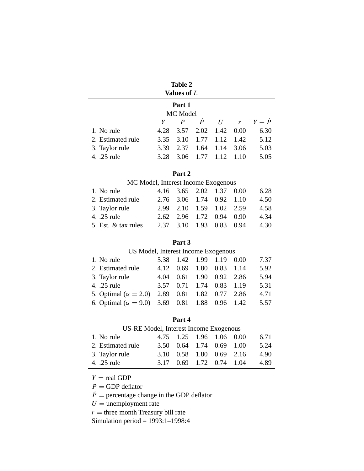| Table 2     |
|-------------|
| Values of L |

# **Part 1**

| MC Model          |      |  |                          |  |  |                                 |  |
|-------------------|------|--|--------------------------|--|--|---------------------------------|--|
|                   |      |  |                          |  |  | $Y$ $P$ $\dot{P}$ $U$ $r$ $Y+P$ |  |
| 1. No rule        |      |  | 4.28 3.57 2.02 1.42 0.00 |  |  | 6.30                            |  |
| 2. Estimated rule |      |  | 3.35 3.10 1.77 1.12 1.42 |  |  | 5.12                            |  |
| 3. Taylor rule    |      |  | 3.39 2.37 1.64 1.14 3.06 |  |  | 5.03                            |  |
| 4. .25 rule       | 3.28 |  | 3.06 1.77 1.12 1.10      |  |  | 5.05                            |  |

### **Part 2**

### MC Model, Interest Income Exogenous

| 1. No rule          | 4.16 3.65 2.02 1.37 0.00 |  | 6.28 |
|---------------------|--------------------------|--|------|
| 2. Estimated rule   | 2.76 3.06 1.74 0.92 1.10 |  | 4.50 |
| 3. Taylor rule      | 2.99 2.10 1.59 1.02 2.59 |  | 4.58 |
| 4. .25 rule         | 2.62 2.96 1.72 0.94 0.90 |  | 4.34 |
| 5. Est. & tax rules | 2.37 3.10 1.93 0.83 0.94 |  | 4.30 |

### **Part 3**

### US Model, Interest Income Exogenous

| 1. No rule                                             | 5.38 1.42 1.99 1.19 0.00     |  | 7.37 |
|--------------------------------------------------------|------------------------------|--|------|
| 2. Estimated rule                                      | 4.12 0.69 1.80 0.83 1.14     |  | 5.92 |
| 3. Taylor rule                                         | 4.04  0.61  1.90  0.92  2.86 |  | 5.94 |
| 4. .25 rule                                            | 3.57 0.71 1.74 0.83 1.19     |  | 5.31 |
| 5. Optimal ( $\alpha = 2.0$ ) 2.89 0.81 1.82 0.77 2.86 |                              |  | 4.71 |
| 6. Optimal ( $\alpha = 9.0$ ) 3.69 0.81 1.88 0.96 1.42 |                              |  | 5.57 |
|                                                        |                              |  |      |

### **Part 4**

### US-RE Model, Interest Income Exogenous

| 1. No rule        | 4.75 1.25 1.96 1.06 0.00 |  | 6.71 |
|-------------------|--------------------------|--|------|
| 2. Estimated rule | 3.50 0.64 1.74 0.69 1.00 |  | 5.24 |
| 3. Taylor rule    | 3.10 0.58 1.80 0.69 2.16 |  | 4.90 |
| 4. .25 rule       | 3.17 0.69 1.72 0.74 1.04 |  | 4.89 |

 $Y = \text{real GDP}$ 

 $P =$  GDP deflator

 $\dot{P}$  = percentage change in the GDP deflator

 $U =$ unemployment rate

 $r =$  three month Treasury bill rate

Simulation period = 1993:1–1998:4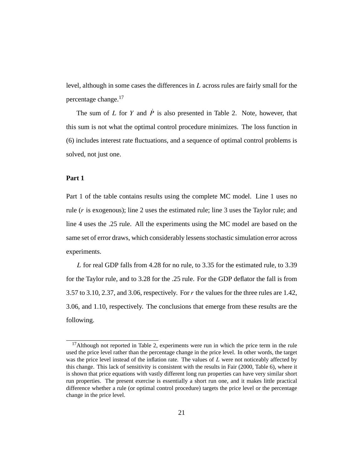level, although in some cases the differences in L across rules are fairly small for the percentage change.17

The sum of L for Y and  $\dot{P}$  is also presented in Table 2. Note, however, that this sum is not what the optimal control procedure minimizes. The loss function in (6) includes interest rate fluctuations, and a sequence of optimal control problems is solved, not just one.

### **Part 1**

Part 1 of the table contains results using the complete MC model. Line 1 uses no rule (r is exogenous); line 2 uses the estimated rule; line 3 uses the Taylor rule; and line 4 uses the .25 rule. All the experiments using the MC model are based on the same set of error draws, which considerably lessens stochastic simulation error across experiments.

L for real GDP falls from 4.28 for no rule, to 3.35 for the estimated rule, to 3.39 for the Taylor rule, and to 3.28 for the .25 rule. For the GDP deflator the fall is from 3.57 to 3.10, 2.37, and 3.06, respectively. For r the values for the three rules are 1.42, 3.06, and 1.10, respectively. The conclusions that emerge from these results are the following.

 $17$ Although not reported in Table 2, experiments were run in which the price term in the rule used the price level rather than the percentage change in the price level. In other words, the target was the price level instead of the inflation rate. The values of L were not noticeably affected by this change. This lack of sensitivity is consistent with the results in Fair (2000, Table 6), where it is shown that price equations with vastly different long run properties can have very similar short run properties. The present exercise is essentially a short run one, and it makes little practical difference whether a rule (or optimal control procedure) targets the price level or the percentage change in the price level.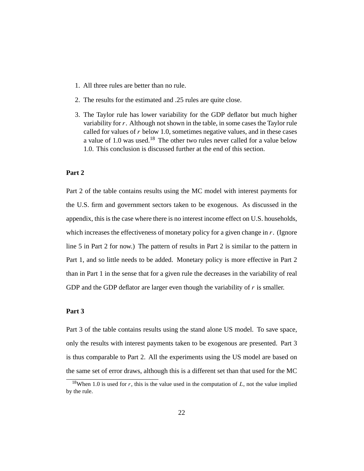- 1. All three rules are better than no rule.
- 2. The results for the estimated and .25 rules are quite close.
- 3. The Taylor rule has lower variability for the GDP deflator but much higher variability for r. Although not shown in the table, in some cases the Taylor rule called for values of  $r$  below 1.0, sometimes negative values, and in these cases a value of 1.0 was used.<sup>18</sup> The other two rules never called for a value below 1.0. This conclusion is discussed further at the end of this section.

#### **Part 2**

Part 2 of the table contains results using the MC model with interest payments for the U.S. firm and government sectors taken to be exogenous. As discussed in the appendix, this is the case where there is no interest income effect on U.S. households, which increases the effectiveness of monetary policy for a given change in  $r$ . (Ignore line 5 in Part 2 for now.) The pattern of results in Part 2 is similar to the pattern in Part 1, and so little needs to be added. Monetary policy is more effective in Part 2 than in Part 1 in the sense that for a given rule the decreases in the variability of real GDP and the GDP deflator are larger even though the variability of  $r$  is smaller.

#### **Part 3**

Part 3 of the table contains results using the stand alone US model. To save space, only the results with interest payments taken to be exogenous are presented. Part 3 is thus comparable to Part 2. All the experiments using the US model are based on the same set of error draws, although this is a different set than that used for the MC

<sup>&</sup>lt;sup>18</sup>When 1.0 is used for r, this is the value used in the computation of  $L$ , not the value implied by the rule.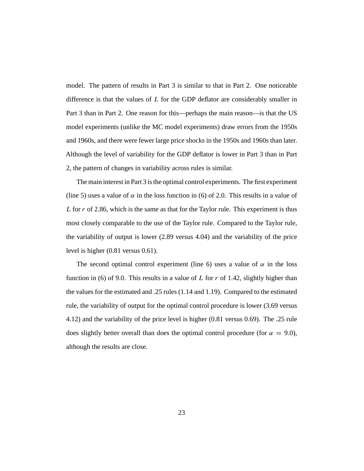model. The pattern of results in Part 3 is similar to that in Part 2. One noticeable difference is that the values of L for the GDP deflator are considerably smaller in Part 3 than in Part 2. One reason for this—perhaps the main reason—is that the US model experiments (unlike the MC model experiments) draw errors from the 1950s and 1960s, and there were fewer large price shocks in the 1950s and 1960s than later. Although the level of variability for the GDP deflator is lower in Part 3 than in Part 2, the pattern of changes in variability across rules is similar.

The main interest in Part 3 is the optimal control experiments. The first experiment (line 5) uses a value of  $\alpha$  in the loss function in (6) of 2.0. This results in a value of L for  $r$  of 2.86, which is the same as that for the Taylor rule. This experiment is thus most closely comparable to the use of the Taylor rule. Compared to the Taylor rule, the variability of output is lower (2.89 versus 4.04) and the variability of the price level is higher (0.81 versus 0.61).

The second optimal control experiment (line 6) uses a value of  $\alpha$  in the loss function in (6) of 9.0. This results in a value of L for r of 1.42, slightly higher than the values for the estimated and .25 rules (1.14 and 1.19). Compared to the estimated rule, the variability of output for the optimal control procedure is lower (3.69 versus 4.12) and the variability of the price level is higher (0.81 versus 0.69). The .25 rule does slightly better overall than does the optimal control procedure (for  $\alpha = 9.0$ ), although the results are close.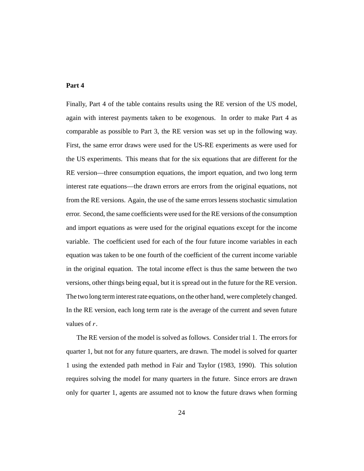#### **Part 4**

Finally, Part 4 of the table contains results using the RE version of the US model, again with interest payments taken to be exogenous. In order to make Part 4 as comparable as possible to Part 3, the RE version was set up in the following way. First, the same error draws were used for the US-RE experiments as were used for the US experiments. This means that for the six equations that are different for the RE version—three consumption equations, the import equation, and two long term interest rate equations—the drawn errors are errors from the original equations, not from the RE versions. Again, the use of the same errors lessens stochastic simulation error. Second, the same coefficients were used for the RE versions of the consumption and import equations as were used for the original equations except for the income variable. The coefficient used for each of the four future income variables in each equation was taken to be one fourth of the coefficient of the current income variable in the original equation. The total income effect is thus the same between the two versions, other things being equal, but it is spread out in the future for the RE version. The two long term interest rate equations, on the other hand, were completely changed. In the RE version, each long term rate is the average of the current and seven future values of r.

The RE version of the model is solved as follows. Consider trial 1. The errors for quarter 1, but not for any future quarters, are drawn. The model is solved for quarter 1 using the extended path method in Fair and Taylor (1983, 1990). This solution requires solving the model for many quarters in the future. Since errors are drawn only for quarter 1, agents are assumed not to know the future draws when forming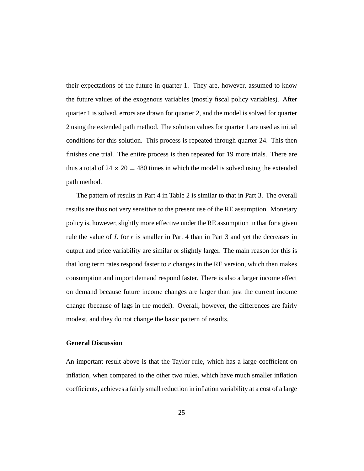their expectations of the future in quarter 1. They are, however, assumed to know the future values of the exogenous variables (mostly fiscal policy variables). After quarter 1 is solved, errors are drawn for quarter 2, and the model is solved for quarter 2 using the extended path method. The solution values for quarter 1 are used as initial conditions for this solution. This process is repeated through quarter 24. This then finishes one trial. The entire process is then repeated for 19 more trials. There are thus a total of  $24 \times 20 = 480$  times in which the model is solved using the extended path method.

The pattern of results in Part 4 in Table 2 is similar to that in Part 3. The overall results are thus not very sensitive to the present use of the RE assumption. Monetary policy is, however, slightly more effective under the RE assumption in that for a given rule the value of L for r is smaller in Part 4 than in Part 3 and yet the decreases in output and price variability are similar or slightly larger. The main reason for this is that long term rates respond faster to  $r$  changes in the RE version, which then makes consumption and import demand respond faster. There is also a larger income effect on demand because future income changes are larger than just the current income change (because of lags in the model). Overall, however, the differences are fairly modest, and they do not change the basic pattern of results.

#### **General Discussion**

An important result above is that the Taylor rule, which has a large coefficient on inflation, when compared to the other two rules, which have much smaller inflation coefficients, achieves a fairly small reduction in inflation variability at a cost of a large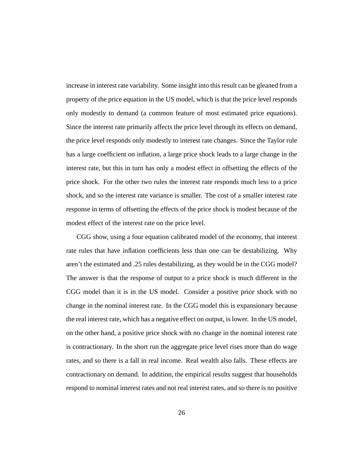increase in interest rate variability. Some insight into this result can be gleaned from a property of the price equation in the US model, which is that the price level responds only modestly to demand (a common feature of most estimated price equations). Since the interest rate primarily affects the price level through its effects on demand, the price level responds only modestly to interest rate changes. Since the Taylor rule has a large coefficient on inflation, a large price shock leads to a large change in the interest rate, but this in turn has only a modest effect in offsetting the effects of the price shock. For the other two rules the interest rate responds much less to a price shock, and so the interest rate variance is smaller. The cost of a smaller interest rate response in terms of offsetting the effects of the price shock is modest because of the modest effect of the interest rate on the price level.

CGG show, using a four equation calibrated model of the economy, that interest rate rules that have inflation coefficients less than one can be destabilizing. Why aren't the estimated and .25 rules destabilizing, as they would be in the CGG model? The answer is that the response of output to a price shock is much different in the CGG model than it is in the US model. Consider a positive price shock with no change in the nominal interest rate. In the CGG model this is expansionary because the real interest rate, which has a negative effect on output, is lower. In the US model, on the other hand, a positive price shock with no change in the nominal interest rate is contractionary. In the short run the aggregate price level rises more than do wage rates, and so there is a fall in real income. Real wealth also falls. These effects are contractionary on demand. In addition, the empirical results suggest that households respond to nominal interest rates and not real interest rates, and so there is no positive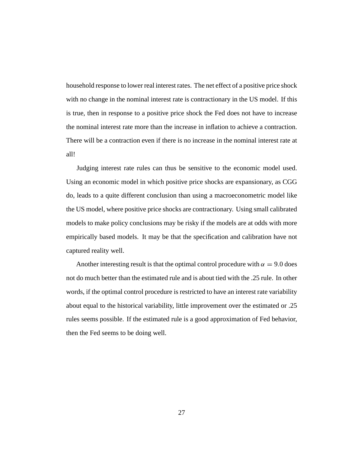household response to lower real interest rates. The net effect of a positive price shock with no change in the nominal interest rate is contractionary in the US model. If this is true, then in response to a positive price shock the Fed does not have to increase the nominal interest rate more than the increase in inflation to achieve a contraction. There will be a contraction even if there is no increase in the nominal interest rate at all!

Judging interest rate rules can thus be sensitive to the economic model used. Using an economic model in which positive price shocks are expansionary, as CGG do, leads to a quite different conclusion than using a macroeconometric model like the US model, where positive price shocks are contractionary. Using small calibrated models to make policy conclusions may be risky if the models are at odds with more empirically based models. It may be that the specification and calibration have not captured reality well.

Another interesting result is that the optimal control procedure with  $\alpha = 9.0$  does not do much better than the estimated rule and is about tied with the .25 rule. In other words, if the optimal control procedure is restricted to have an interest rate variability about equal to the historical variability, little improvement over the estimated or .25 rules seems possible. If the estimated rule is a good approximation of Fed behavior, then the Fed seems to be doing well.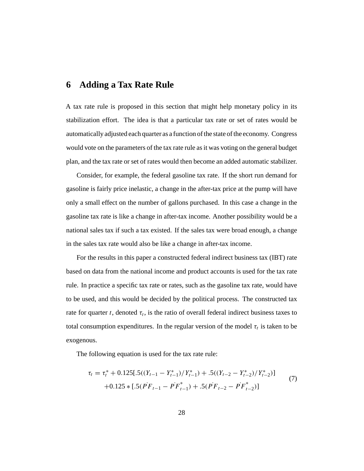### **6 Adding a Tax Rate Rule**

A tax rate rule is proposed in this section that might help monetary policy in its stabilization effort. The idea is that a particular tax rate or set of rates would be automatically adjusted each quarter as a function of the state of the economy. Congress would vote on the parameters of the tax rate rule as it was voting on the general budget plan, and the tax rate or set of rates would then become an added automatic stabilizer.

Consider, for example, the federal gasoline tax rate. If the short run demand for gasoline is fairly price inelastic, a change in the after-tax price at the pump will have only a small effect on the number of gallons purchased. In this case a change in the gasoline tax rate is like a change in after-tax income. Another possibility would be a national sales tax if such a tax existed. If the sales tax were broad enough, a change in the sales tax rate would also be like a change in after-tax income.

For the results in this paper a constructed federal indirect business tax (IBT) rate based on data from the national income and product accounts is used for the tax rate rule. In practice a specific tax rate or rates, such as the gasoline tax rate, would have to be used, and this would be decided by the political process. The constructed tax rate for quarter t, denoted  $\tau_t$ , is the ratio of overall federal indirect business taxes to total consumption expenditures. In the regular version of the model  $\tau_t$  is taken to be exogenous.

The following equation is used for the tax rate rule:

$$
\tau_{t} = \tau_{t}^{*} + 0.125[.5((Y_{t-1} - Y_{t-1}^{*})/Y_{t-1}^{*}) + .5((Y_{t-2} - Y_{t-2}^{*})/Y_{t-2}^{*})]
$$
  
+0.125 \* [.5(PF<sub>t-1</sub> - PF<sub>t-1</sub><sup>\*</sup>) + .5(PF<sub>t-2</sub> - PF<sub>t-2</sub><sup>\*</sup>)] (7)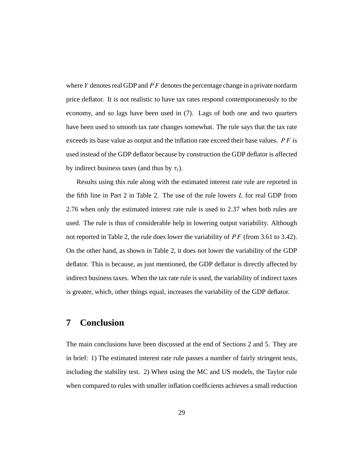where Y denotes real GDP and  $\overline{PF}$  denotes the percentage change in a private nonfarm price deflator. It is not realistic to have tax rates respond contemporaneously to the economy, and so lags have been used in (7). Lags of both one and two quarters have been used to smooth tax rate changes somewhat. The rule says that the tax rate exceeds its base value as output and the inflation rate exceed their base values.  $P F$  is used instead of the GDP deflator because by construction the GDP deflator is affected by indirect business taxes (and thus by  $\tau_t$ ).

Results using this rule along with the estimated interest rate rule are reported in the fifth line in Part 2 in Table 2. The use of the rule lowers L for real GDP from 2.76 when only the estimated interest rate rule is used to 2.37 when both rules are used. The rule is thus of considerable help in lowering output variability. Although not reported in Table 2, the rule does lower the variability of  $PF$  (from 3.61 to 3.42). On the other hand, as shown in Table 2, it does not lower the variability of the GDP deflator. This is because, as just mentioned, the GDP deflator is directly affected by indirect business taxes. When the tax rate rule is used, the variability of indirect taxes is greater, which, other things equal, increases the variability of the GDP deflator.

# **7 Conclusion**

The main conclusions have been discussed at the end of Sections 2 and 5. They are in brief: 1) The estimated interest rate rule passes a number of fairly stringent tests, including the stability test. 2) When using the MC and US models, the Taylor rule when compared to rules with smaller inflation coefficients achieves a small reduction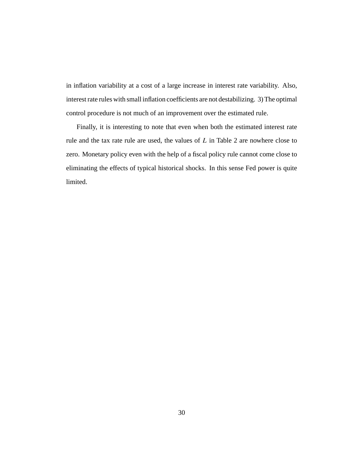in inflation variability at a cost of a large increase in interest rate variability. Also, interest rate rules with small inflation coefficients are not destabilizing. 3) The optimal control procedure is not much of an improvement over the estimated rule.

Finally, it is interesting to note that even when both the estimated interest rate rule and the tax rate rule are used, the values of L in Table 2 are nowhere close to zero. Monetary policy even with the help of a fiscal policy rule cannot come close to eliminating the effects of typical historical shocks. In this sense Fed power is quite limited.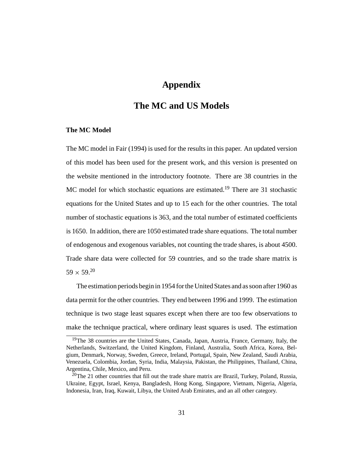### **Appendix**

# **The MC and US Models**

#### **The MC Model**

The MC model in Fair (1994) is used for the results in this paper. An updated version of this model has been used for the present work, and this version is presented on the website mentioned in the introductory footnote. There are 38 countries in the MC model for which stochastic equations are estimated.<sup>19</sup> There are 31 stochastic equations for the United States and up to 15 each for the other countries. The total number of stochastic equations is 363, and the total number of estimated coefficients is 1650. In addition, there are 1050 estimated trade share equations. The total number of endogenous and exogenous variables, not counting the trade shares, is about 4500. Trade share data were collected for 59 countries, and so the trade share matrix is  $59 \times 59^{20}$ 

The estimation periods begin in 1954 for the United States and as soon after 1960 as data permit for the other countries. They end between 1996 and 1999. The estimation technique is two stage least squares except when there are too few observations to make the technique practical, where ordinary least squares is used. The estimation

<sup>&</sup>lt;sup>19</sup>The 38 countries are the United States, Canada, Japan, Austria, France, Germany, Italy, the Netherlands, Switzerland, the United Kingdom, Finland, Australia, South Africa, Korea, Belgium, Denmark, Norway, Sweden, Greece, Ireland, Portugal, Spain, New Zealand, Saudi Arabia, Venezuela, Colombia, Jordan, Syria, India, Malaysia, Pakistan, the Philippines, Thailand, China, Argentina, Chile, Mexico, and Peru.

 $20$ The 21 other countries that fill out the trade share matrix are Brazil, Turkey, Poland, Russia, Ukraine, Egypt, Israel, Kenya, Bangladesh, Hong Kong, Singapore, Vietnam, Nigeria, Algeria, Indonesia, Iran, Iraq, Kuwait, Libya, the United Arab Emirates, and an all other category.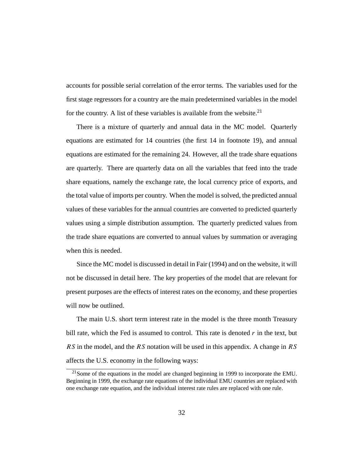accounts for possible serial correlation of the error terms. The variables used for the first stage regressors for a country are the main predetermined variables in the model for the country. A list of these variables is available from the website.<sup>21</sup>

There is a mixture of quarterly and annual data in the MC model. Quarterly equations are estimated for 14 countries (the first 14 in footnote 19), and annual equations are estimated for the remaining 24. However, all the trade share equations are quarterly. There are quarterly data on all the variables that feed into the trade share equations, namely the exchange rate, the local currency price of exports, and the total value of imports per country. When the model is solved, the predicted annual values of these variables for the annual countries are converted to predicted quarterly values using a simple distribution assumption. The quarterly predicted values from the trade share equations are converted to annual values by summation or averaging when this is needed.

Since the MC model is discussed in detail in Fair (1994) and on the website, it will not be discussed in detail here. The key properties of the model that are relevant for present purposes are the effects of interest rates on the economy, and these properties will now be outlined.

The main U.S. short term interest rate in the model is the three month Treasury bill rate, which the Fed is assumed to control. This rate is denoted  $r$  in the text, but RS in the model, and the RS notation will be used in this appendix. A change in RS affects the U.S. economy in the following ways:

 $21$ Some of the equations in the model are changed beginning in 1999 to incorporate the EMU. Beginning in 1999, the exchange rate equations of the individual EMU countries are replaced with one exchange rate equation, and the individual interest rate rules are replaced with one rule.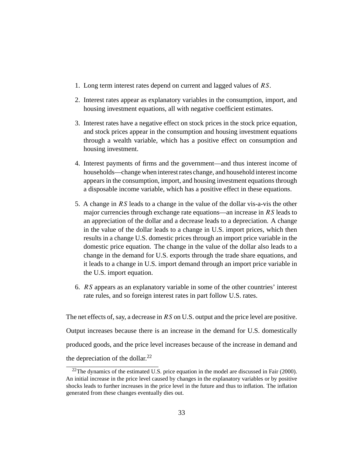- 1. Long term interest rates depend on current and lagged values of RS.
- 2. Interest rates appear as explanatory variables in the consumption, import, and housing investment equations, all with negative coefficient estimates.
- 3. Interest rates have a negative effect on stock prices in the stock price equation, and stock prices appear in the consumption and housing investment equations through a wealth variable, which has a positive effect on consumption and housing investment.
- 4. Interest payments of firms and the government—and thus interest income of households—change when interest rates change, and household interest income appears in the consumption, import, and housing investment equations through a disposable income variable, which has a positive effect in these equations.
- 5. A change in RS leads to a change in the value of the dollar vis-a-vis the other major currencies through exchange rate equations—an increase in  $RS$  leads to an appreciation of the dollar and a decrease leads to a depreciation. A change in the value of the dollar leads to a change in U.S. import prices, which then results in a change U.S. domestic prices through an import price variable in the domestic price equation. The change in the value of the dollar also leads to a change in the demand for U.S. exports through the trade share equations, and it leads to a change in U.S. import demand through an import price variable in the U.S. import equation.
- 6. RS appears as an explanatory variable in some of the other countries' interest rate rules, and so foreign interest rates in part follow U.S. rates.

The net effects of, say, a decrease in RS on U.S. output and the price level are positive. Output increases because there is an increase in the demand for U.S. domestically produced goods, and the price level increases because of the increase in demand and the depreciation of the dollar. $^{22}$ 

 $22$ The dynamics of the estimated U.S. price equation in the model are discussed in Fair (2000). An initial increase in the price level caused by changes in the explanatory variables or by positive shocks leads to further increases in the price level in the future and thus to inflation. The inflation generated from these changes eventually dies out.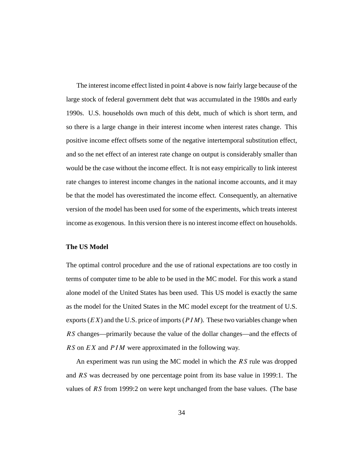The interest income effect listed in point 4 above is now fairly large because of the large stock of federal government debt that was accumulated in the 1980s and early 1990s. U.S. households own much of this debt, much of which is short term, and so there is a large change in their interest income when interest rates change. This positive income effect offsets some of the negative intertemporal substitution effect, and so the net effect of an interest rate change on output is considerably smaller than would be the case without the income effect. It is not easy empirically to link interest rate changes to interest income changes in the national income accounts, and it may be that the model has overestimated the income effect. Consequently, an alternative version of the model has been used for some of the experiments, which treats interest income as exogenous. In this version there is no interest income effect on households.

#### **The US Model**

The optimal control procedure and the use of rational expectations are too costly in terms of computer time to be able to be used in the MC model. For this work a stand alone model of the United States has been used. This US model is exactly the same as the model for the United States in the MC model except for the treatment of U.S. exports  $(EX)$  and the U.S. price of imports  $(PIM)$ . These two variables change when RS changes—primarily because the value of the dollar changes—and the effects of RS on EX and  $PIM$  were approximated in the following way.

An experiment was run using the MC model in which the RS rule was dropped and RS was decreased by one percentage point from its base value in 1999:1. The values of RS from 1999:2 on were kept unchanged from the base values. (The base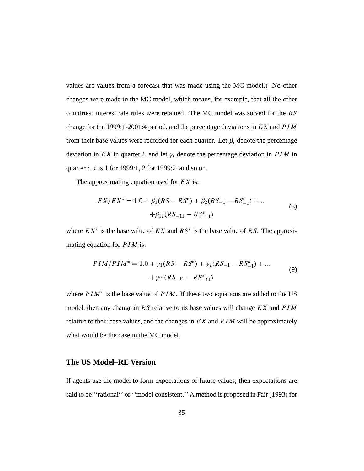values are values from a forecast that was made using the MC model.) No other changes were made to the MC model, which means, for example, that all the other countries' interest rate rules were retained. The MC model was solved for the RS change for the 1999:1-2001:4 period, and the percentage deviations in EX and PIM from their base values were recorded for each quarter. Let  $\beta_i$  denote the percentage deviation in EX in quarter i, and let  $\gamma_i$  denote the percentage deviation in PIM in quarter *i. i* is 1 for 1999:1, 2 for 1999:2, and so on.

The approximating equation used for  $EX$  is:

$$
EX/EX^* = 1.0 + \beta_1 (RS - RS^*) + \beta_2 (RS_{-1} - RS_{-1}^*) + ... + \beta_{12} (RS_{-11} - RS_{-11}^*)
$$
(8)

where  $EX^*$  is the base value of  $EX$  and  $RS^*$  is the base value of RS. The approximating equation for  $PIM$  is:

$$
PIM/PIM^* = 1.0 + \gamma_1(RS - RS^*) + \gamma_2(RS_{-1} - RS_{-1}^*) + ...
$$
  
+
$$
\gamma_{12}(RS_{-11} - RS_{-11}^*)
$$
 (9)

where  $PIM^*$  is the base value of  $PIM$ . If these two equations are added to the US model, then any change in RS relative to its base values will change  $EX$  and  $PIM$ relative to their base values, and the changes in  $EX$  and  $PIM$  will be approximately what would be the case in the MC model.

### **The US Model–RE Version**

If agents use the model to form expectations of future values, then expectations are said to be ''rational'' or ''model consistent.'' A method is proposed in Fair (1993) for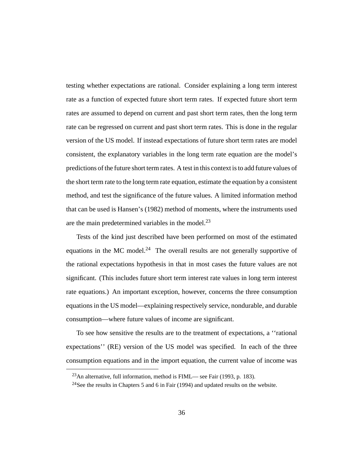testing whether expectations are rational. Consider explaining a long term interest rate as a function of expected future short term rates. If expected future short term rates are assumed to depend on current and past short term rates, then the long term rate can be regressed on current and past short term rates. This is done in the regular version of the US model. If instead expectations of future short term rates are model consistent, the explanatory variables in the long term rate equation are the model's predictions of the future short term rates. A test in this context is to add future values of the short term rate to the long term rate equation, estimate the equation by a consistent method, and test the significance of the future values. A limited information method that can be used is Hansen's (1982) method of moments, where the instruments used are the main predetermined variables in the model. $^{23}$ 

Tests of the kind just described have been performed on most of the estimated equations in the MC model.<sup>24</sup> The overall results are not generally supportive of the rational expectations hypothesis in that in most cases the future values are not significant. (This includes future short term interest rate values in long term interest rate equations.) An important exception, however, concerns the three consumption equations in the US model—explaining respectively service, nondurable, and durable consumption—where future values of income are significant.

To see how sensitive the results are to the treatment of expectations, a ''rational expectations'' (RE) version of the US model was specified. In each of the three consumption equations and in the import equation, the current value of income was

<sup>&</sup>lt;sup>23</sup>An alternative, full information, method is FIML— see Fair (1993, p. 183).

<sup>&</sup>lt;sup>24</sup>See the results in Chapters 5 and 6 in Fair (1994) and updated results on the website.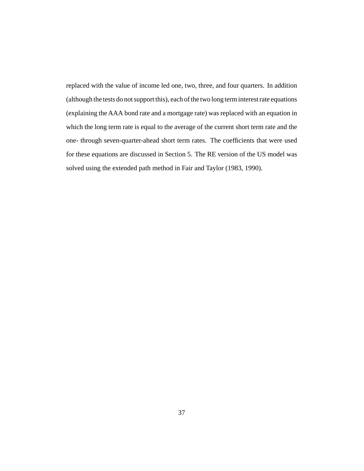replaced with the value of income led one, two, three, and four quarters. In addition (although the tests do not support this), each of the two long term interest rate equations (explaining the AAA bond rate and a mortgage rate) was replaced with an equation in which the long term rate is equal to the average of the current short term rate and the one- through seven-quarter-ahead short term rates. The coefficients that were used for these equations are discussed in Section 5. The RE version of the US model was solved using the extended path method in Fair and Taylor (1983, 1990).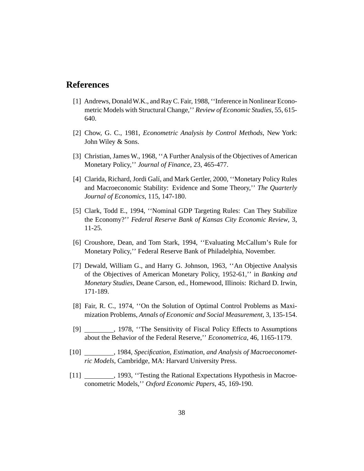### **References**

- [1] Andrews, Donald W.K., and Ray C. Fair, 1988, ''Inference in Nonlinear Econometric Models with Structural Change,'' *Review of Economic Studies*, 55, 615- 640.
- [2] Chow, G. C., 1981, *Econometric Analysis by Control Methods*, New York: John Wiley & Sons.
- [3] Christian, James W., 1968, ''A Further Analysis of the Objectives of American Monetary Policy,'' *Journal of Finance*, 23, 465-477.
- [4] Clarida, Richard, Jordi Galí, and Mark Gertler, 2000, ''Monetary Policy Rules and Macroeconomic Stability: Evidence and Some Theory,'' *The Quarterly Journal of Economics*, 115, 147-180.
- [5] Clark, Todd E., 1994, ''Nominal GDP Targeting Rules: Can They Stabilize the Economy?'' *Federal Reserve Bank of Kansas City Economic Review*, 3, 11-25.
- [6] Croushore, Dean, and Tom Stark, 1994, ''Evaluating McCallum's Rule for Monetary Policy,'' Federal Reserve Bank of Philadelphia, November.
- [7] Dewald, William G., and Harry G. Johnson, 1963, ''An Objective Analysis of the Objectives of American Monetary Policy, 1952-61,'' in *Banking and Monetary Studies*, Deane Carson, ed., Homewood, Illinois: Richard D. Irwin, 171-189.
- [8] Fair, R. C., 1974, ''On the Solution of Optimal Control Problems as Maximization Problems, *Annals of Economic and Social Measurement*, 3, 135-154.
- [9] 1978, "The Sensitivity of Fiscal Policy Effects to Assumptions about the Behavior of the Federal Reserve,'' *Econometrica*, 46, 1165-1179.
- [10] , 1984, *Specification, Estimation, and Analysis of Macroeconometric Models*, Cambridge, MA: Harvard University Press.
- [11] \_\_\_\_\_\_\_\_\_, 1993, "Testing the Rational Expectations Hypothesis in Macroeconometric Models,'' *Oxford Economic Papers*, 45, 169-190.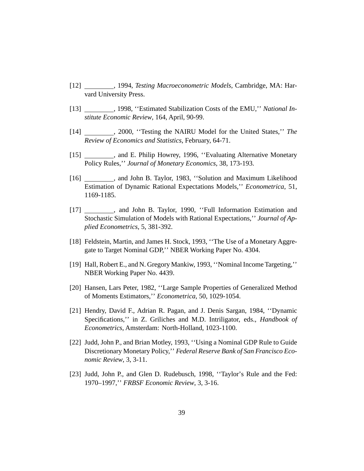- [12] , 1994, *Testing Macroeconometric Models*, Cambridge, MA: Harvard University Press.
- [13] , 1998, ''Estimated Stabilization Costs of the EMU,'' *National Institute Economic Review*, 164, April, 90-99.
- [14] , 2000, ''Testing the NAIRU Model for the United States,'' *The Review of Economics and Statistics*, February, 64-71.
- [15] , and E. Philip Howrey, 1996, ''Evaluating Alternative Monetary Policy Rules,'' *Journal of Monetary Economics*, 38, 173-193.
- [16] , and John B. Taylor, 1983, ''Solution and Maximum Likelihood Estimation of Dynamic Rational Expectations Models,'' *Econometrica*, 51, 1169-1185.
- [17] , and John B. Taylor, 1990, ''Full Information Estimation and Stochastic Simulation of Models with Rational Expectations,'' *Journal of Applied Econometrics*, 5, 381-392.
- [18] Feldstein, Martin, and James H. Stock, 1993, ''The Use of a Monetary Aggregate to Target Nominal GDP,'' NBER Working Paper No. 4304.
- [19] Hall, Robert E., and N. Gregory Mankiw, 1993, ''Nominal Income Targeting,'' NBER Working Paper No. 4439.
- [20] Hansen, Lars Peter, 1982, ''Large Sample Properties of Generalized Method of Moments Estimators,'' *Econometrica*, 50, 1029-1054.
- [21] Hendry, David F., Adrian R. Pagan, and J. Denis Sargan, 1984, ''Dynamic Specifications,'' in Z. Griliches and M.D. Intriligator, eds., *Handbook of Econometrics*, Amsterdam: North-Holland, 1023-1100.
- [22] Judd, John P., and Brian Motley, 1993, ''Using a Nominal GDP Rule to Guide Discretionary Monetary Policy,'' *Federal Reserve Bank of San Francisco Economic Review*, 3, 3-11.
- [23] Judd, John P., and Glen D. Rudebusch, 1998, "Taylor's Rule and the Fed: 1970–1997,'' *FRBSF Economic Review*, 3, 3-16.